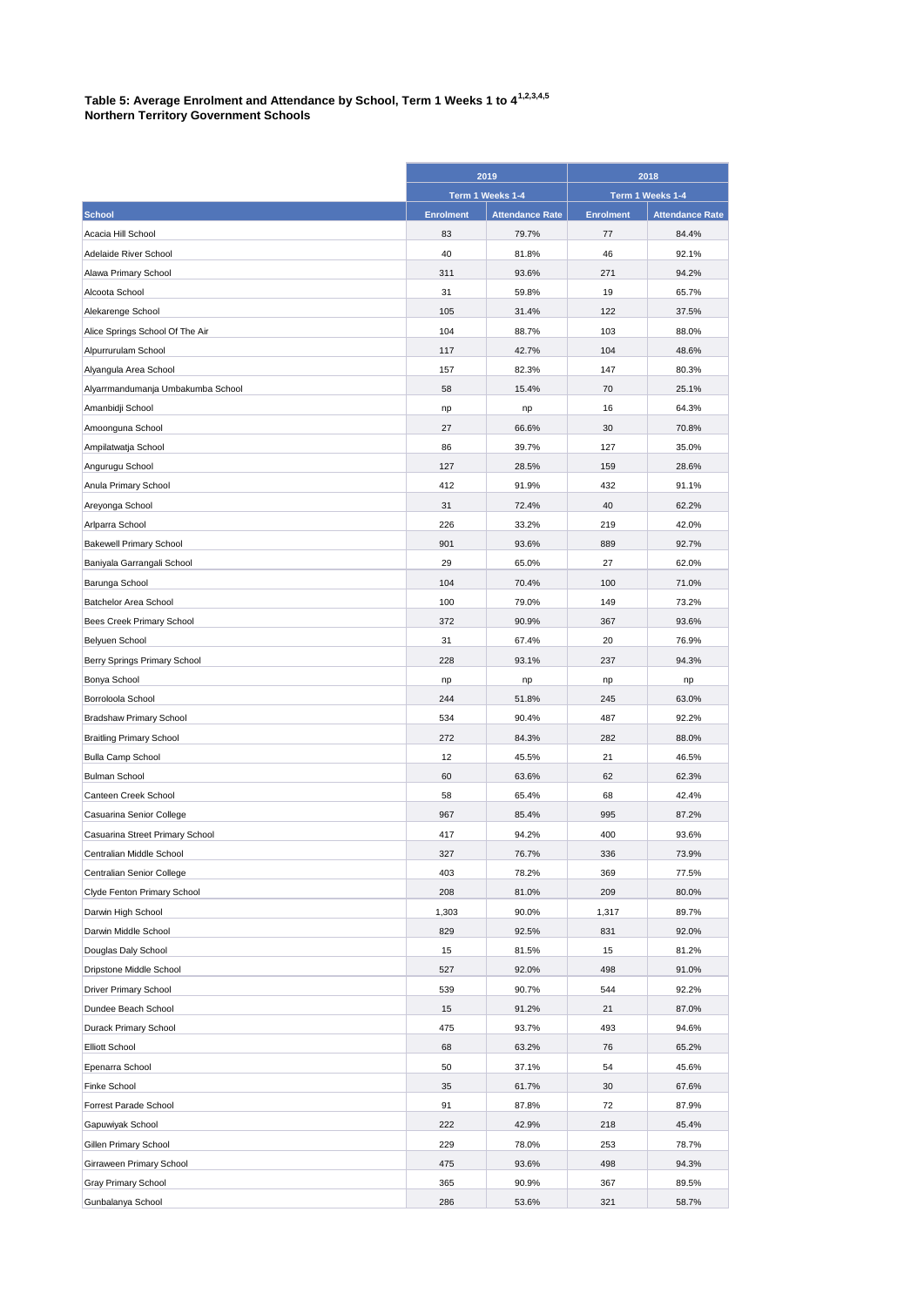## **Table 5: Average Enrolment and Attendance by School, Term 1 Weeks 1 to 41,2,3,4,5 Northern Territory Government Schools**

|                                   | 2019<br>Term 1 Weeks 1-4 |                        | 2018<br>Term 1 Weeks 1-4 |                        |
|-----------------------------------|--------------------------|------------------------|--------------------------|------------------------|
|                                   |                          |                        |                          |                        |
| <b>School</b>                     | <b>Enrolment</b>         | <b>Attendance Rate</b> | <b>Enrolment</b>         | <b>Attendance Rate</b> |
| Acacia Hill School                | 83                       | 79.7%                  | 77                       | 84.4%                  |
| Adelaide River School             | 40                       | 81.8%                  | 46                       | 92.1%                  |
| Alawa Primary School              | 311                      | 93.6%                  | 271                      | 94.2%                  |
| Alcoota School                    | 31                       | 59.8%                  | 19                       | 65.7%                  |
| Alekarenge School                 | 105                      | 31.4%                  | 122                      | 37.5%                  |
| Alice Springs School Of The Air   | 104                      | 88.7%                  | 103                      | 88.0%                  |
| Alpurrurulam School               | 117                      | 42.7%                  | 104                      | 48.6%                  |
| Alyangula Area School             | 157                      | 82.3%                  | 147                      | 80.3%                  |
| Alyarrmandumanja Umbakumba School | 58                       | 15.4%                  | 70                       | 25.1%                  |
| Amanbidji School                  | np                       | np                     | 16                       | 64.3%                  |
| Amoonguna School                  | 27                       | 66.6%                  | 30                       | 70.8%                  |
| Ampilatwatja School               | 86                       | 39.7%                  | 127                      | 35.0%                  |
| Angurugu School                   | 127                      | 28.5%                  | 159                      | 28.6%                  |
| Anula Primary School              | 412                      | 91.9%                  | 432                      | 91.1%                  |
|                                   | 31                       | 72.4%                  | 40                       | 62.2%                  |
| Areyonga School                   |                          |                        |                          |                        |
| Arlparra School                   | 226                      | 33.2%                  | 219                      | 42.0%                  |
| <b>Bakewell Primary School</b>    | 901                      | 93.6%                  | 889                      | 92.7%                  |
| Baniyala Garrangali School        | 29                       | 65.0%                  | 27                       | 62.0%                  |
| Barunga School                    | 104                      | 70.4%                  | 100                      | 71.0%                  |
| Batchelor Area School             | 100                      | 79.0%                  | 149                      | 73.2%                  |
| Bees Creek Primary School         | 372                      | 90.9%                  | 367                      | 93.6%                  |
| Belyuen School                    | 31                       | 67.4%                  | 20                       | 76.9%                  |
| Berry Springs Primary School      | 228                      | 93.1%                  | 237                      | 94.3%                  |
| Bonya School                      | np                       | np                     | np                       | np                     |
| Borroloola School                 | 244                      | 51.8%                  | 245                      | 63.0%                  |
| <b>Bradshaw Primary School</b>    | 534                      | 90.4%                  | 487                      | 92.2%                  |
| <b>Braitling Primary School</b>   | 272                      | 84.3%                  | 282                      | 88.0%                  |
| <b>Bulla Camp School</b>          | 12                       | 45.5%                  | 21                       | 46.5%                  |
| <b>Bulman School</b>              | 60                       | 63.6%                  | 62                       | 62.3%                  |
| Canteen Creek School              | 58                       | 65.4%                  | 68                       | 42.4%                  |
| Casuarina Senior College          | 967                      | 85.4%                  | 995                      | 87.2%                  |
| Casuarina Street Primary School   | 417                      | 94.2%                  | 400                      | 93.6%                  |
| Centralian Middle School          | 327                      | 76.7%                  | 336                      | 73.9%                  |
| Centralian Senior College         | 403                      | 78.2%                  | 369                      | 77.5%                  |
| Clyde Fenton Primary School       | 208                      | 81.0%                  | 209                      | 80.0%                  |
| Darwin High School                | 1,303                    | 90.0%                  | 1,317                    | 89.7%                  |
| Darwin Middle School              | 829                      | 92.5%                  | 831                      | 92.0%                  |
| Douglas Daly School               | 15                       | 81.5%                  | 15                       | 81.2%                  |
| Dripstone Middle School           | 527                      | 92.0%                  | 498                      | 91.0%                  |
| <b>Driver Primary School</b>      | 539                      | 90.7%                  | 544                      | 92.2%                  |
| Dundee Beach School               | 15                       | 91.2%                  | 21                       | 87.0%                  |
| Durack Primary School             | 475                      | 93.7%                  | 493                      | 94.6%                  |
| <b>Elliott School</b>             | 68                       | 63.2%                  | 76                       | 65.2%                  |
| Epenarra School                   | 50                       | 37.1%                  | 54                       | 45.6%                  |
| Finke School                      | 35                       | 61.7%                  | 30                       | 67.6%                  |
| Forrest Parade School             | 91                       | 87.8%                  | 72                       | 87.9%                  |
| Gapuwiyak School                  | 222                      | 42.9%                  | 218                      | 45.4%                  |
| Gillen Primary School             | 229                      | 78.0%                  | 253                      | 78.7%                  |
| Girraween Primary School          | 475                      | 93.6%                  | 498                      | 94.3%                  |
| Gray Primary School               | 365                      | 90.9%                  | 367                      | 89.5%                  |
| Gunbalanya School                 | 286                      | 53.6%                  | 321                      | 58.7%                  |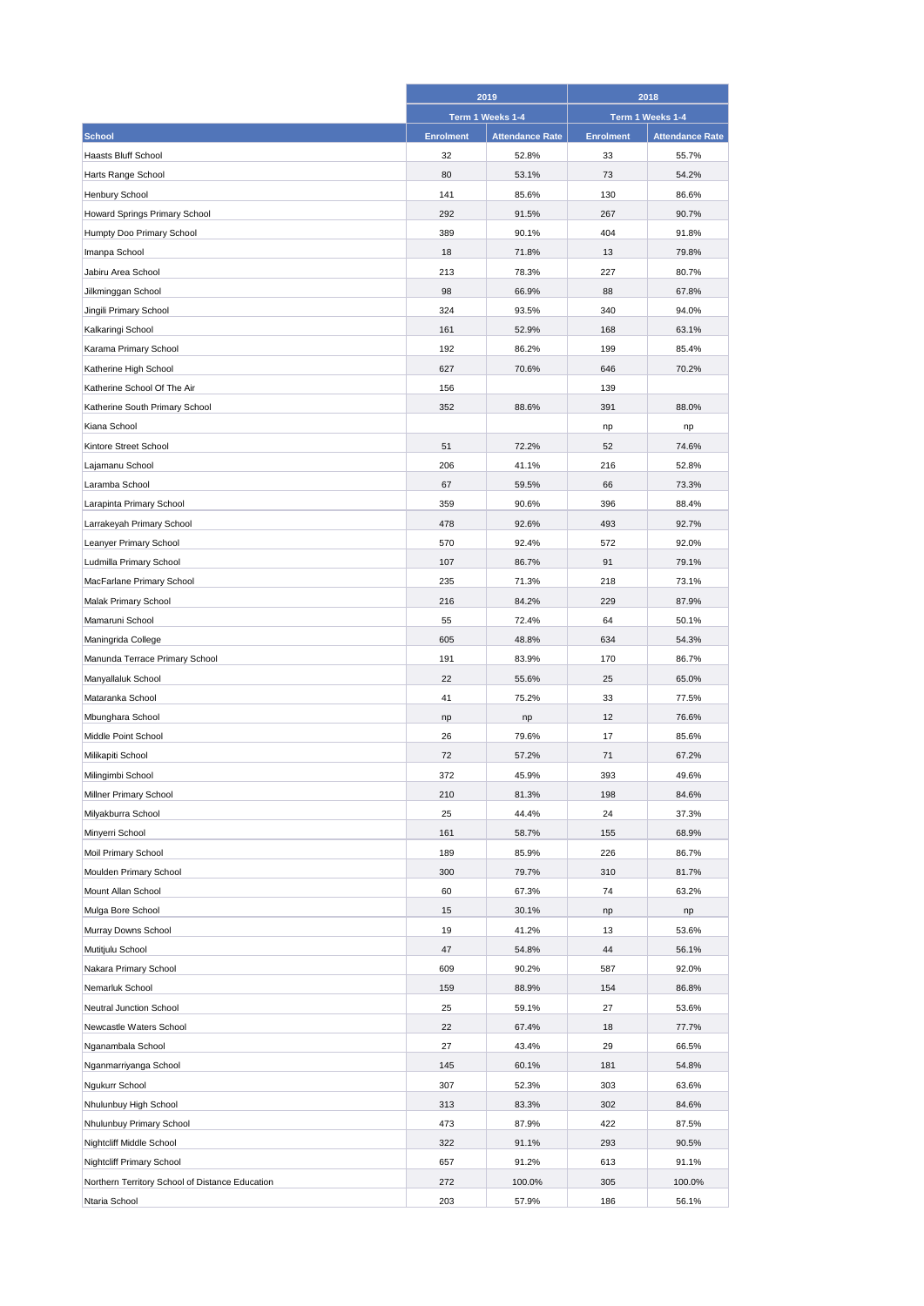|                                                 | 2019             |                        | 2018             |                        |
|-------------------------------------------------|------------------|------------------------|------------------|------------------------|
|                                                 | Term 1 Weeks 1-4 |                        | Term 1 Weeks 1-4 |                        |
| <b>School</b>                                   | <b>Enrolment</b> | <b>Attendance Rate</b> | <b>Enrolment</b> | <b>Attendance Rate</b> |
| <b>Haasts Bluff School</b>                      | 32               | 52.8%                  | 33               | 55.7%                  |
| Harts Range School                              | 80               | 53.1%                  | 73               | 54.2%                  |
| Henbury School                                  | 141              | 85.6%                  | 130              | 86.6%                  |
| Howard Springs Primary School                   | 292              | 91.5%                  | 267              | 90.7%                  |
| Humpty Doo Primary School                       | 389              | 90.1%                  | 404              | 91.8%                  |
| Imanpa School                                   | 18               | 71.8%                  | 13               | 79.8%                  |
| Jabiru Area School                              | 213              | 78.3%                  | 227              | 80.7%                  |
| Jilkminggan School                              | 98               | 66.9%                  | 88               | 67.8%                  |
| Jingili Primary School                          | 324              | 93.5%                  | 340              | 94.0%                  |
| Kalkaringi School                               | 161              | 52.9%                  | 168              | 63.1%                  |
| Karama Primary School                           | 192              | 86.2%                  | 199              | 85.4%                  |
| Katherine High School                           | 627              | 70.6%                  | 646              | 70.2%                  |
| Katherine School Of The Air                     | 156              |                        | 139              |                        |
|                                                 | 352              |                        | 391              | 88.0%                  |
| Katherine South Primary School                  |                  | 88.6%                  |                  |                        |
| Kiana School                                    |                  |                        | np               | np                     |
| Kintore Street School                           | 51               | 72.2%                  | 52               | 74.6%                  |
| Lajamanu School                                 | 206              | 41.1%                  | 216              | 52.8%                  |
| Laramba School                                  | 67               | 59.5%                  | 66               | 73.3%                  |
| Larapinta Primary School                        | 359              | 90.6%                  | 396              | 88.4%                  |
| Larrakeyah Primary School                       | 478              | 92.6%                  | 493              | 92.7%                  |
| Leanyer Primary School                          | 570              | 92.4%                  | 572              | 92.0%                  |
| Ludmilla Primary School                         | 107              | 86.7%                  | 91               | 79.1%                  |
| MacFarlane Primary School                       | 235              | 71.3%                  | 218              | 73.1%                  |
| Malak Primary School                            | 216              | 84.2%                  | 229              | 87.9%                  |
| Mamaruni School                                 | 55               | 72.4%                  | 64               | 50.1%                  |
| Maningrida College                              | 605              | 48.8%                  | 634              | 54.3%                  |
| Manunda Terrace Primary School                  | 191              | 83.9%                  | 170              | 86.7%                  |
| Manyallaluk School                              | 22               | 55.6%                  | 25               | 65.0%                  |
| Mataranka School                                | 41               | 75.2%                  | 33               | 77.5%                  |
| Mbunghara School                                | np               | np                     | 12               | 76.6%                  |
| Middle Point School                             | 26               | 79.6%                  | 17               | 85.6%                  |
| Milikapiti School                               | 72               | 57.2%                  | 71               | 67.2%                  |
| Milingimbi School                               | 372              | 45.9%                  | 393              | 49.6%                  |
| Millner Primary School                          | 210              | 81.3%                  | 198              | 84.6%                  |
| Milyakburra School                              | 25               | 44.4%                  | 24               | 37.3%                  |
| Minyerri School                                 | 161              | 58.7%                  | 155              | 68.9%                  |
| Moil Primary School                             | 189              | 85.9%                  | 226              | 86.7%                  |
| Moulden Primary School                          | 300              | 79.7%                  | 310              | 81.7%                  |
| Mount Allan School                              | 60               | 67.3%                  | 74               | 63.2%                  |
| Mulga Bore School                               | 15               | 30.1%                  | np               | np                     |
| Murray Downs School                             | 19               | 41.2%                  | 13               | 53.6%                  |
| Mutitjulu School                                | 47               | 54.8%                  | 44               | 56.1%                  |
| Nakara Primary School                           | 609              | 90.2%                  | 587              | 92.0%                  |
| Nemarluk School                                 | 159              | 88.9%                  | 154              | 86.8%                  |
| Neutral Junction School                         | 25               | 59.1%                  | 27               | 53.6%                  |
| Newcastle Waters School                         | 22               | 67.4%                  | 18               | 77.7%                  |
| Nganambala School                               | 27               | 43.4%                  | 29               | 66.5%                  |
|                                                 | 145              |                        | 181              | 54.8%                  |
| Nganmarriyanga School                           |                  | 60.1%                  |                  |                        |
| Ngukurr School                                  | 307              | 52.3%                  | 303              | 63.6%                  |
| Nhulunbuy High School                           | 313              | 83.3%                  | 302              | 84.6%                  |
| Nhulunbuy Primary School                        | 473              | 87.9%                  | 422              | 87.5%                  |
| Nightcliff Middle School                        | 322              | 91.1%                  | 293              | 90.5%                  |
| Nightcliff Primary School                       | 657              | 91.2%                  | 613              | 91.1%                  |
| Northern Territory School of Distance Education | 272              | 100.0%                 | 305              | 100.0%                 |
| Ntaria School                                   | 203              | 57.9%                  | 186              | 56.1%                  |